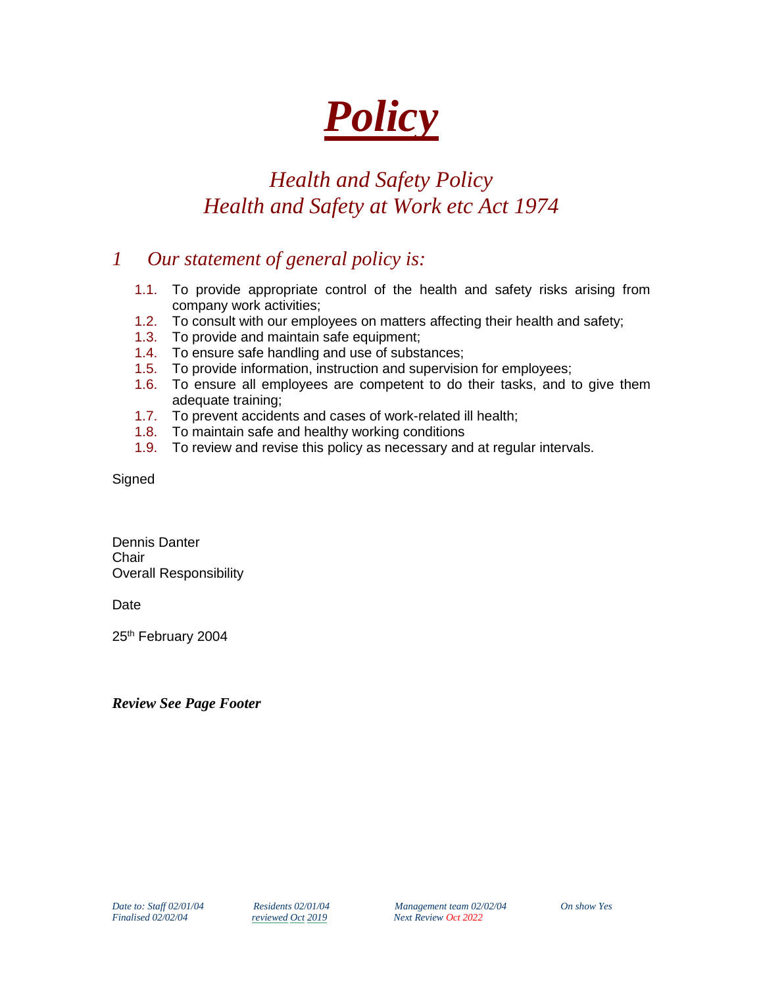# *Policy*

# *Health and Safety Policy Health and Safety at Work etc Act 1974*

# *1 Our statement of general policy is:*

- 1.1. To provide appropriate control of the health and safety risks arising from company work activities;
- 1.2. To consult with our employees on matters affecting their health and safety;
- 1.3. To provide and maintain safe equipment;
- 1.4. To ensure safe handling and use of substances;
- 1.5. To provide information, instruction and supervision for employees;
- 1.6. To ensure all employees are competent to do their tasks, and to give them adequate training;
- 1.7. To prevent accidents and cases of work-related ill health;
- 1.8. To maintain safe and healthy working conditions
- 1.9. To review and revise this policy as necessary and at regular intervals.

**Signed** 

Dennis Danter **Chair** Overall Responsibility

Date

25<sup>th</sup> February 2004

*Review See Page Footer*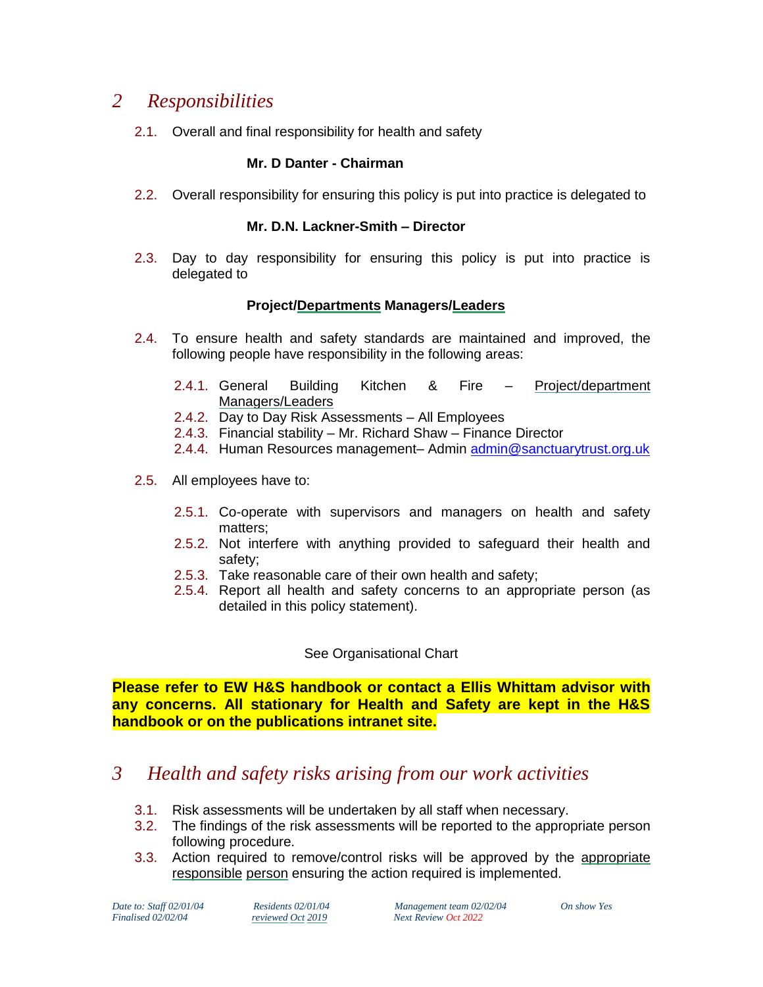# *2 Responsibilities*

2.1. Overall and final responsibility for health and safety

## **Mr. D Danter - Chairman**

2.2. Overall responsibility for ensuring this policy is put into practice is delegated to

## **Mr. D.N. Lackner-Smith – Director**

2.3. Day to day responsibility for ensuring this policy is put into practice is delegated to

## **Project/Departments Managers/Leaders**

- 2.4. To ensure health and safety standards are maintained and improved, the following people have responsibility in the following areas:
	- 2.4.1. General Building Kitchen & Fire Project/department Managers/Leaders
	- 2.4.2. Day to Day Risk Assessments All Employees
	- 2.4.3. Financial stability Mr. Richard Shaw Finance Director
	- 2.4.4. Human Resources management– Admin [admin@sanctuarytrust.org.uk](mailto:admin@sanctuarytrust.org.uk)
- 2.5. All employees have to:
	- 2.5.1. Co-operate with supervisors and managers on health and safety matters;
	- 2.5.2. Not interfere with anything provided to safeguard their health and safety;
	- 2.5.3. Take reasonable care of their own health and safety;
	- 2.5.4. Report all health and safety concerns to an appropriate person (as detailed in this policy statement).

## See Organisational Chart

**Please refer to EW H&S handbook or contact a Ellis Whittam advisor with any concerns. All stationary for Health and Safety are kept in the H&S handbook or on the publications intranet site.**

# *3 Health and safety risks arising from our work activities*

- 3.1. Risk assessments will be undertaken by all staff when necessary.
- 3.2. The findings of the risk assessments will be reported to the appropriate person following procedure.
- 3.3. Action required to remove/control risks will be approved by the appropriate responsible person ensuring the action required is implemented.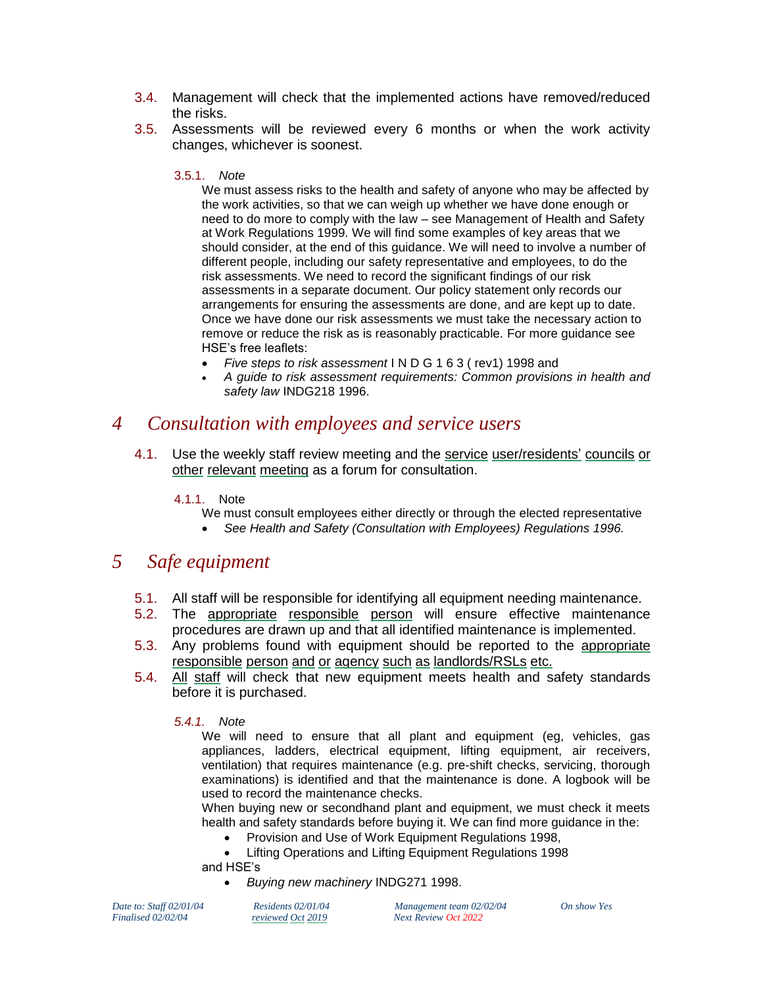- 3.4. Management will check that the implemented actions have removed/reduced the risks.
- 3.5. Assessments will be reviewed every 6 months or when the work activity changes, whichever is soonest.

#### 3.5.1. *Note*

We must assess risks to the health and safety of anyone who may be affected by the work activities, so that we can weigh up whether we have done enough or need to do more to comply with the law – see Management of Health and Safety at Work Regulations 1999. We will find some examples of key areas that we should consider, at the end of this guidance. We will need to involve a number of different people, including our safety representative and employees, to do the risk assessments. We need to record the significant findings of our risk assessments in a separate document. Our policy statement only records our arrangements for ensuring the assessments are done, and are kept up to date. Once we have done our risk assessments we must take the necessary action to remove or reduce the risk as is reasonably practicable. For more guidance see HSE's free leaflets:

- *Five steps to risk assessment* I N D G 1 6 3 ( rev1) 1998 and
- *A guide to risk assessment requirements: Common provisions in health and safety law* INDG218 1996.

## *4 Consultation with employees and service users*

4.1. Use the weekly staff review meeting and the service user/residents' councils or other relevant meeting as a forum for consultation.

#### 4.1.1. Note

- We must consult employees either directly or through the elected representative
- *See Health and Safety (Consultation with Employees) Regulations 1996.*

## *5 Safe equipment*

- 5.1. All staff will be responsible for identifying all equipment needing maintenance.
- 5.2. The appropriate responsible person will ensure effective maintenance procedures are drawn up and that all identified maintenance is implemented.
- 5.3. Any problems found with equipment should be reported to the appropriate responsible person and or agency such as landlords/RSLs etc.
- 5.4. All staff will check that new equipment meets health and safety standards before it is purchased.

#### *5.4.1. Note*

We will need to ensure that all plant and equipment (eg, vehicles, gas appliances, ladders, electrical equipment, lifting equipment, air receivers, ventilation) that requires maintenance (e.g. pre-shift checks, servicing, thorough examinations) is identified and that the maintenance is done. A logbook will be used to record the maintenance checks.

When buying new or secondhand plant and equipment, we must check it meets health and safety standards before buying it. We can find more guidance in the:

- Provision and Use of Work Equipment Regulations 1998,
- Lifting Operations and Lifting Equipment Regulations 1998
- and HSE's
	- *Buying new machinery* INDG271 1998.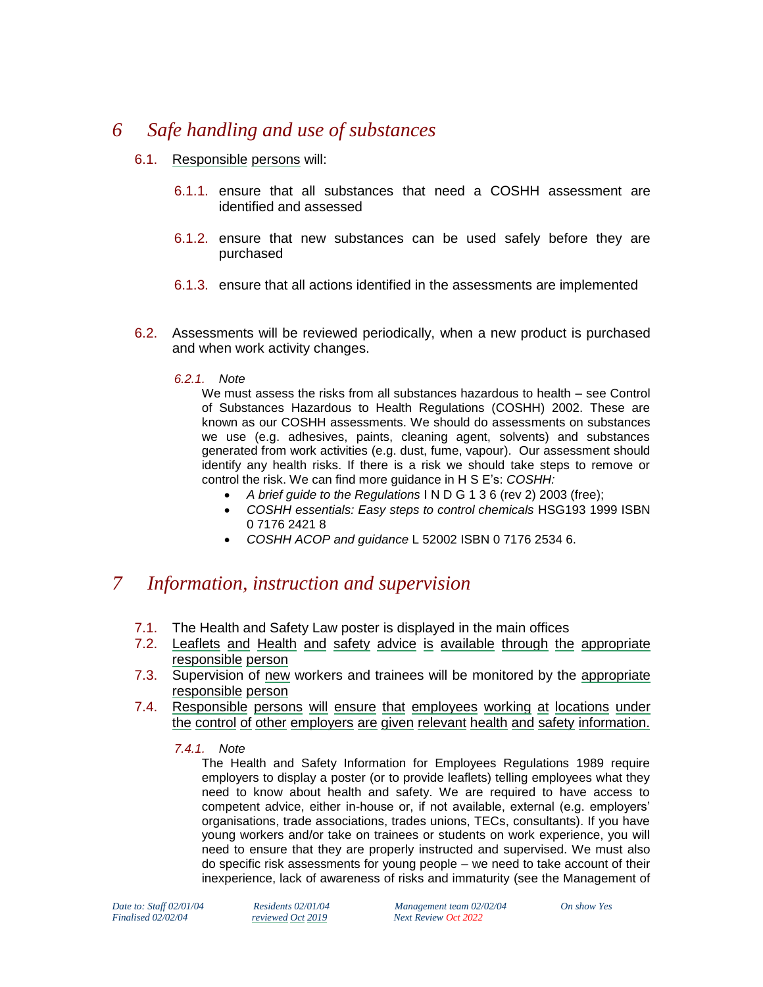## *6 Safe handling and use of substances*

- 6.1. Responsible persons will:
	- 6.1.1. ensure that all substances that need a COSHH assessment are identified and assessed
	- 6.1.2. ensure that new substances can be used safely before they are purchased
	- 6.1.3. ensure that all actions identified in the assessments are implemented
- 6.2. Assessments will be reviewed periodically, when a new product is purchased and when work activity changes.
	- *6.2.1. Note*

We must assess the risks from all substances hazardous to health – see Control of Substances Hazardous to Health Regulations (COSHH) 2002. These are known as our COSHH assessments. We should do assessments on substances we use (e.g. adhesives, paints, cleaning agent, solvents) and substances generated from work activities (e.g. dust, fume, vapour). Our assessment should identify any health risks. If there is a risk we should take steps to remove or control the risk. We can find more guidance in H S E's: *COSHH:*

- *A brief guide to the Regulations* I N D G 1 3 6 (rev 2) 2003 (free);
- COSHH essentials: Easy steps to control chemicals **HSG193 1999 ISBN** 0 7176 2421 8
- *COSHH ACOP and guidance* L 52002 ISBN 0 7176 2534 6.

## *7 Information, instruction and supervision*

- 7.1. The Health and Safety Law poster is displayed in the main offices
- 7.2. Leaflets and Health and safety advice is available through the appropriate responsible person
- 7.3. Supervision of new workers and trainees will be monitored by the appropriate responsible person
- 7.4. Responsible persons will ensure that employees working at locations under the control of other employers are given relevant health and safety information.
	- *7.4.1. Note*

The Health and Safety Information for Employees Regulations 1989 require employers to display a poster (or to provide leaflets) telling employees what they need to know about health and safety. We are required to have access to competent advice, either in-house or, if not available, external (e.g. employers' organisations, trade associations, trades unions, TECs, consultants). If you have young workers and/or take on trainees or students on work experience, you will need to ensure that they are properly instructed and supervised. We must also do specific risk assessments for young people – we need to take account of their inexperience, lack of awareness of risks and immaturity (see the Management of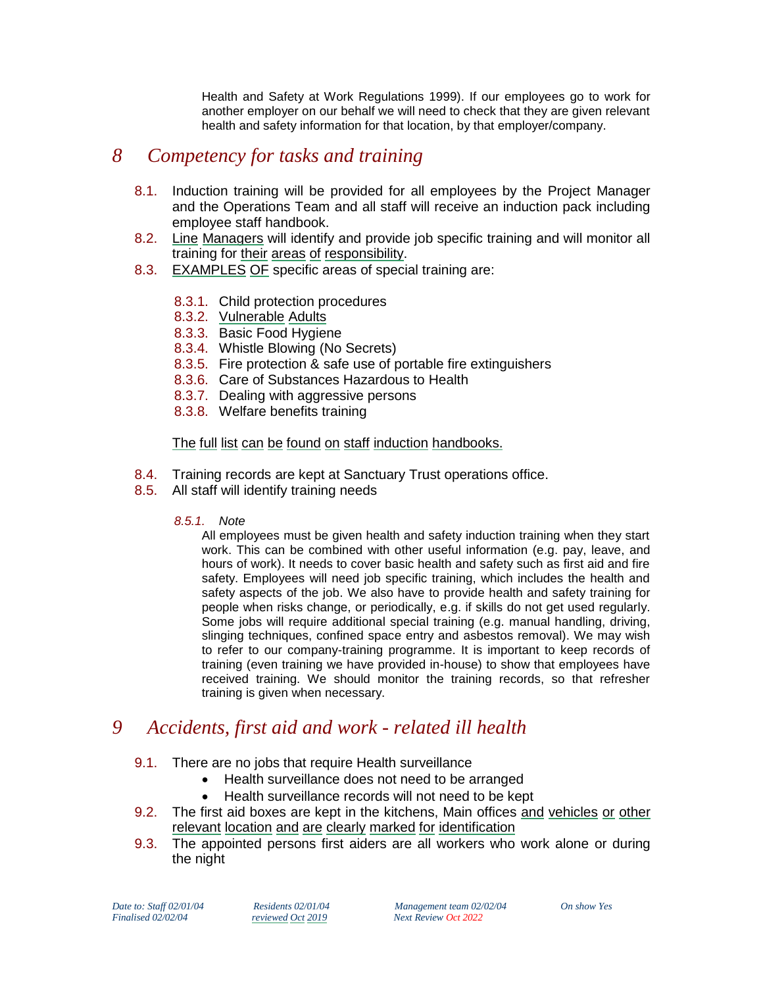Health and Safety at Work Regulations 1999). If our employees go to work for another employer on our behalf we will need to check that they are given relevant health and safety information for that location, by that employer/company.

# *8 Competency for tasks and training*

- 8.1. Induction training will be provided for all employees by the Project Manager and the Operations Team and all staff will receive an induction pack including employee staff handbook.
- 8.2. Line Managers will identify and provide job specific training and will monitor all training for their areas of responsibility.
- 8.3. EXAMPLES OF specific areas of special training are:
	- 8.3.1. Child protection procedures
	- 8.3.2. Vulnerable Adults
	- 8.3.3. Basic Food Hygiene
	- 8.3.4. Whistle Blowing (No Secrets)
	- 8.3.5. Fire protection & safe use of portable fire extinguishers
	- 8.3.6. Care of Substances Hazardous to Health
	- 8.3.7. Dealing with aggressive persons
	- 8.3.8. Welfare benefits training

## The full list can be found on staff induction handbooks.

- 8.4. Training records are kept at Sanctuary Trust operations office.
- 8.5. All staff will identify training needs

## *8.5.1. Note*

All employees must be given health and safety induction training when they start work. This can be combined with other useful information (e.g. pay, leave, and hours of work). It needs to cover basic health and safety such as first aid and fire safety. Employees will need job specific training, which includes the health and safety aspects of the job. We also have to provide health and safety training for people when risks change, or periodically, e.g. if skills do not get used regularly. Some jobs will require additional special training (e.g. manual handling, driving, slinging techniques, confined space entry and asbestos removal). We may wish to refer to our company-training programme. It is important to keep records of training (even training we have provided in-house) to show that employees have received training. We should monitor the training records, so that refresher training is given when necessary.

# *9 Accidents, first aid and work - related ill health*

- 9.1. There are no jobs that require Health surveillance
	- Health surveillance does not need to be arranged
	- Health surveillance records will not need to be kept
- 9.2. The first aid boxes are kept in the kitchens, Main offices and vehicles or other relevant location and are clearly marked for identification
- 9.3. The appointed persons first aiders are all workers who work alone or during the night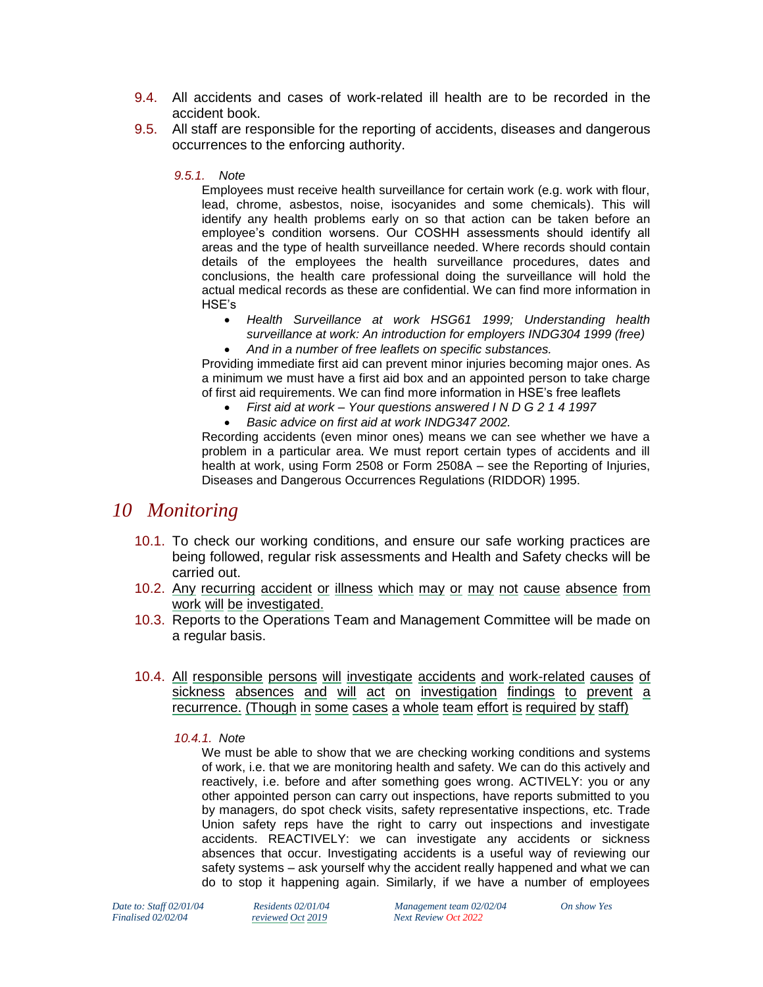- 9.4. All accidents and cases of work-related ill health are to be recorded in the accident book.
- 9.5. All staff are responsible for the reporting of accidents, diseases and dangerous occurrences to the enforcing authority.

#### *9.5.1. Note*

Employees must receive health surveillance for certain work (e.g. work with flour, lead, chrome, asbestos, noise, isocyanides and some chemicals). This will identify any health problems early on so that action can be taken before an employee's condition worsens. Our COSHH assessments should identify all areas and the type of health surveillance needed. Where records should contain details of the employees the health surveillance procedures, dates and conclusions, the health care professional doing the surveillance will hold the actual medical records as these are confidential. We can find more information in HSE's

- *Health Surveillance at work HSG61 1999; Understanding health surveillance at work: An introduction for employers INDG304 1999 (free)*
- *And in a number of free leaflets on specific substances.*  Providing immediate first aid can prevent minor injuries becoming major ones. As

a minimum we must have a first aid box and an appointed person to take charge of first aid requirements. We can find more information in HSE's free leaflets

- *First aid at work – Your questions answered I N D G 2 1 4 1997*
- *Basic advice on first aid at work INDG347 2002.*

Recording accidents (even minor ones) means we can see whether we have a problem in a particular area. We must report certain types of accidents and ill health at work, using Form 2508 or Form 2508A – see the Reporting of Injuries, Diseases and Dangerous Occurrences Regulations (RIDDOR) 1995.

## *10 Monitoring*

- 10.1. To check our working conditions, and ensure our safe working practices are being followed, regular risk assessments and Health and Safety checks will be carried out.
- 10.2. Any recurring accident or illness which may or may not cause absence from work will be investigated.
- 10.3. Reports to the Operations Team and Management Committee will be made on a regular basis.
- 10.4. All responsible persons will investigate accidents and work-related causes of sickness absences and will act on investigation findings to prevent a recurrence. (Though in some cases a whole team effort is required by staff)
	- *10.4.1. Note*

We must be able to show that we are checking working conditions and systems of work, i.e. that we are monitoring health and safety. We can do this actively and reactively, i.e. before and after something goes wrong. ACTIVELY: you or any other appointed person can carry out inspections, have reports submitted to you by managers, do spot check visits, safety representative inspections, etc. Trade Union safety reps have the right to carry out inspections and investigate accidents. REACTIVELY: we can investigate any accidents or sickness absences that occur. Investigating accidents is a useful way of reviewing our safety systems – ask yourself why the accident really happened and what we can do to stop it happening again. Similarly, if we have a number of employees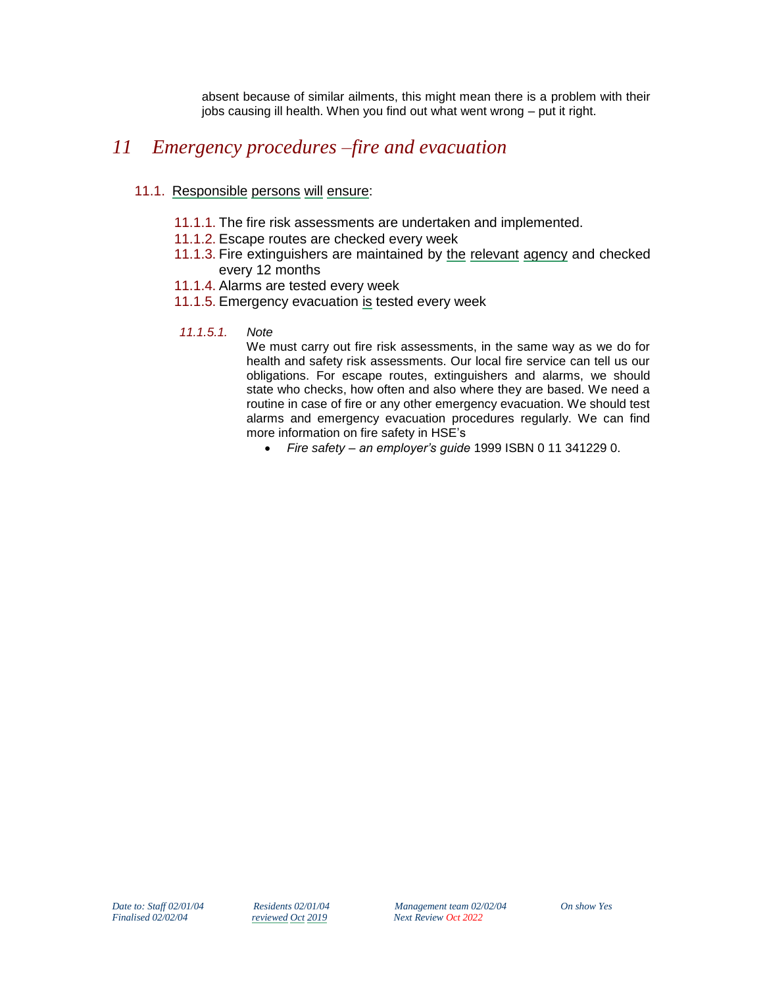absent because of similar ailments, this might mean there is a problem with their jobs causing ill health. When you find out what went wrong – put it right.

# *11 Emergency procedures –fire and evacuation*

## 11.1. Responsible persons will ensure:

- 11.1.1. The fire risk assessments are undertaken and implemented.
- 11.1.2. Escape routes are checked every week
- 11.1.3. Fire extinguishers are maintained by the relevant agency and checked every 12 months
- 11.1.4. Alarms are tested every week
- 11.1.5. Emergency evacuation is tested every week
- *11.1.5.1. Note*

We must carry out fire risk assessments, in the same way as we do for health and safety risk assessments. Our local fire service can tell us our obligations. For escape routes, extinguishers and alarms, we should state who checks, how often and also where they are based. We need a routine in case of fire or any other emergency evacuation. We should test alarms and emergency evacuation procedures regularly. We can find more information on fire safety in HSE's

*Fire safety – an employer's guide* 1999 ISBN 0 11 341229 0.